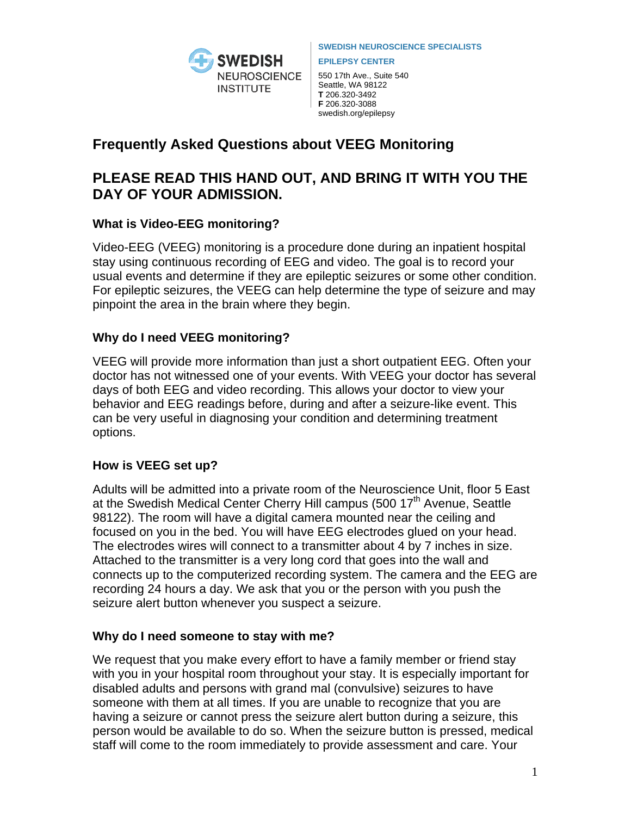

**SWEDISH NEUROSCIENCE SPECIALISTS** 

**EPILEPSY CENTER** 

550 17th Ave., Suite 540 Seattle, WA 98122 **T** 206.320-3492 **F** 206.320-3088 swedish.org/epilepsy

# **Frequently Asked Questions about VEEG Monitoring**

# **PLEASE READ THIS HAND OUT, AND BRING IT WITH YOU THE DAY OF YOUR ADMISSION.**

# **What is Video-EEG monitoring?**

Video-EEG (VEEG) monitoring is a procedure done during an inpatient hospital stay using continuous recording of EEG and video. The goal is to record your usual events and determine if they are epileptic seizures or some other condition. For epileptic seizures, the VEEG can help determine the type of seizure and may pinpoint the area in the brain where they begin.

# **Why do I need VEEG monitoring?**

VEEG will provide more information than just a short outpatient EEG. Often your doctor has not witnessed one of your events. With VEEG your doctor has several days of both EEG and video recording. This allows your doctor to view your behavior and EEG readings before, during and after a seizure-like event. This can be very useful in diagnosing your condition and determining treatment options.

# **How is VEEG set up?**

Adults will be admitted into a private room of the Neuroscience Unit, floor 5 East at the Swedish Medical Center Cherry Hill campus (500 17<sup>th</sup> Avenue, Seattle 98122). The room will have a digital camera mounted near the ceiling and focused on you in the bed. You will have EEG electrodes glued on your head. The electrodes wires will connect to a transmitter about 4 by 7 inches in size. Attached to the transmitter is a very long cord that goes into the wall and connects up to the computerized recording system. The camera and the EEG are recording 24 hours a day. We ask that you or the person with you push the seizure alert button whenever you suspect a seizure.

# **Why do I need someone to stay with me?**

We request that you make every effort to have a family member or friend stay with you in your hospital room throughout your stay. It is especially important for disabled adults and persons with grand mal (convulsive) seizures to have someone with them at all times. If you are unable to recognize that you are having a seizure or cannot press the seizure alert button during a seizure, this person would be available to do so. When the seizure button is pressed, medical staff will come to the room immediately to provide assessment and care. Your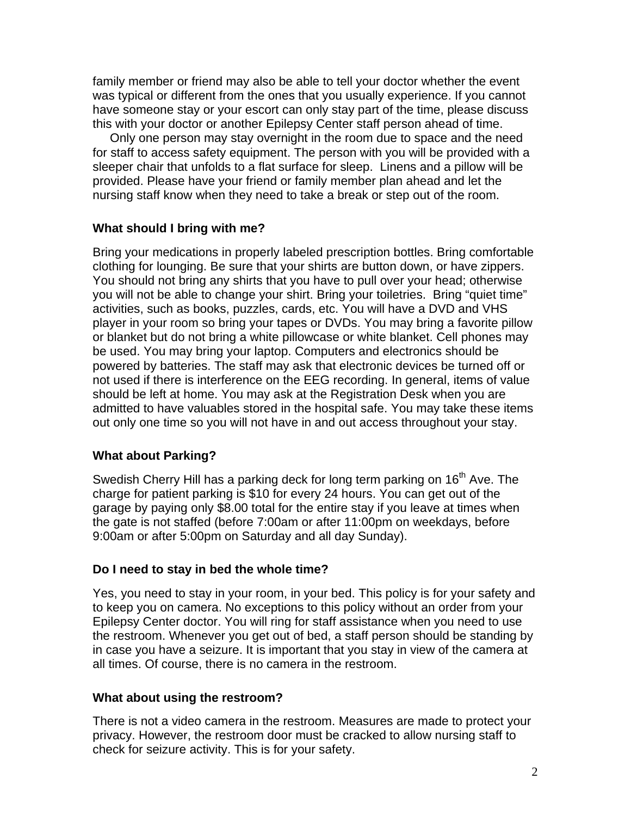family member or friend may also be able to tell your doctor whether the event was typical or different from the ones that you usually experience. If you cannot have someone stay or your escort can only stay part of the time, please discuss this with your doctor or another Epilepsy Center staff person ahead of time.

 Only one person may stay overnight in the room due to space and the need for staff to access safety equipment. The person with you will be provided with a sleeper chair that unfolds to a flat surface for sleep. Linens and a pillow will be provided. Please have your friend or family member plan ahead and let the nursing staff know when they need to take a break or step out of the room.

## **What should I bring with me?**

Bring your medications in properly labeled prescription bottles. Bring comfortable clothing for lounging. Be sure that your shirts are button down, or have zippers. You should not bring any shirts that you have to pull over your head; otherwise you will not be able to change your shirt. Bring your toiletries. Bring "quiet time" activities, such as books, puzzles, cards, etc. You will have a DVD and VHS player in your room so bring your tapes or DVDs. You may bring a favorite pillow or blanket but do not bring a white pillowcase or white blanket. Cell phones may be used. You may bring your laptop. Computers and electronics should be powered by batteries. The staff may ask that electronic devices be turned off or not used if there is interference on the EEG recording. In general, items of value should be left at home. You may ask at the Registration Desk when you are admitted to have valuables stored in the hospital safe. You may take these items out only one time so you will not have in and out access throughout your stay.

# **What about Parking?**

Swedish Cherry Hill has a parking deck for long term parking on 16<sup>th</sup> Ave. The charge for patient parking is \$10 for every 24 hours. You can get out of the garage by paying only \$8.00 total for the entire stay if you leave at times when the gate is not staffed (before 7:00am or after 11:00pm on weekdays, before 9:00am or after 5:00pm on Saturday and all day Sunday).

## **Do I need to stay in bed the whole time?**

Yes, you need to stay in your room, in your bed. This policy is for your safety and to keep you on camera. No exceptions to this policy without an order from your Epilepsy Center doctor. You will ring for staff assistance when you need to use the restroom. Whenever you get out of bed, a staff person should be standing by in case you have a seizure. It is important that you stay in view of the camera at all times. Of course, there is no camera in the restroom.

## **What about using the restroom?**

There is not a video camera in the restroom. Measures are made to protect your privacy. However, the restroom door must be cracked to allow nursing staff to check for seizure activity. This is for your safety.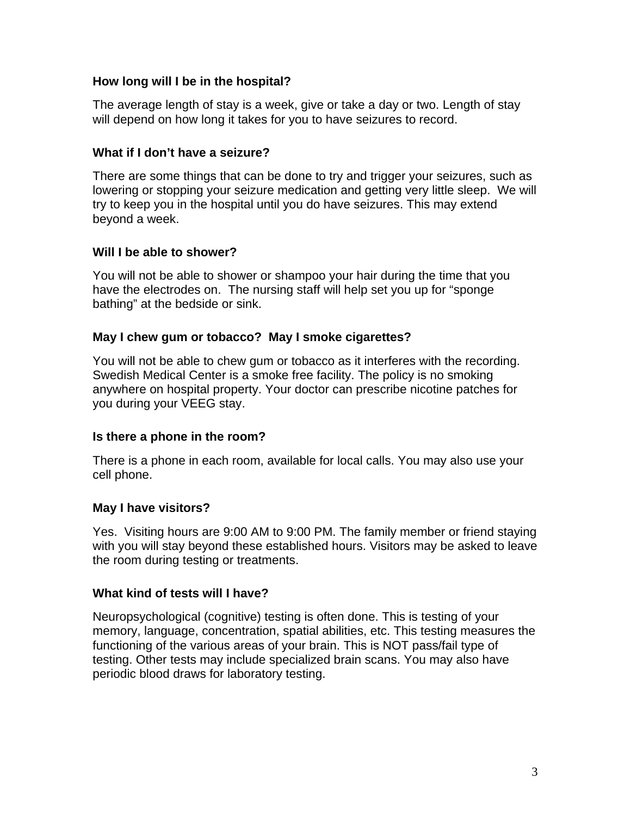## **How long will I be in the hospital?**

The average length of stay is a week, give or take a day or two. Length of stay will depend on how long it takes for you to have seizures to record.

## **What if I don't have a seizure?**

There are some things that can be done to try and trigger your seizures, such as lowering or stopping your seizure medication and getting very little sleep. We will try to keep you in the hospital until you do have seizures. This may extend beyond a week.

## **Will I be able to shower?**

You will not be able to shower or shampoo your hair during the time that you have the electrodes on. The nursing staff will help set you up for "sponge bathing" at the bedside or sink.

## **May I chew gum or tobacco? May I smoke cigarettes?**

You will not be able to chew gum or tobacco as it interferes with the recording. Swedish Medical Center is a smoke free facility. The policy is no smoking anywhere on hospital property. Your doctor can prescribe nicotine patches for you during your VEEG stay.

## **Is there a phone in the room?**

There is a phone in each room, available for local calls. You may also use your cell phone.

## **May I have visitors?**

Yes. Visiting hours are 9:00 AM to 9:00 PM. The family member or friend staying with you will stay beyond these established hours. Visitors may be asked to leave the room during testing or treatments.

## **What kind of tests will I have?**

Neuropsychological (cognitive) testing is often done. This is testing of your memory, language, concentration, spatial abilities, etc. This testing measures the functioning of the various areas of your brain. This is NOT pass/fail type of testing. Other tests may include specialized brain scans. You may also have periodic blood draws for laboratory testing.